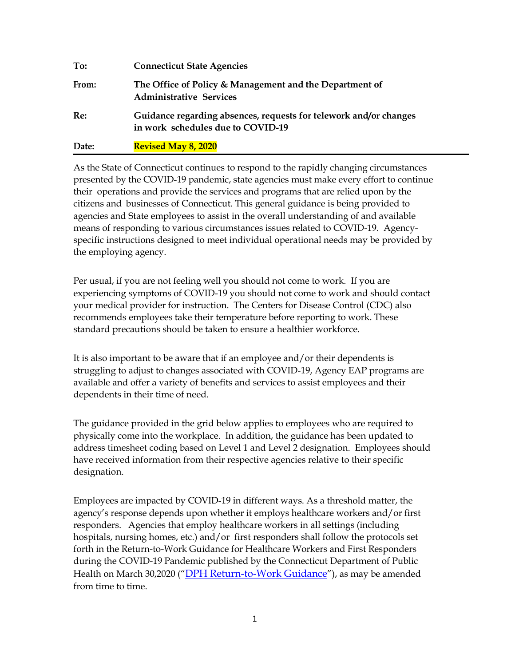| To:   | <b>Connecticut State Agencies</b>                                                                      |
|-------|--------------------------------------------------------------------------------------------------------|
| From: | The Office of Policy & Management and the Department of<br><b>Administrative Services</b>              |
| Re:   | Guidance regarding absences, requests for telework and/or changes<br>in work schedules due to COVID-19 |
| Date: | <b>Revised May 8, 2020</b>                                                                             |

As the State of Connecticut continues to respond to the rapidly changing circumstances presented by the COVID-19 pandemic, state agencies must make every effort to continue their operations and provide the services and programs that are relied upon by the citizens and businesses of Connecticut. This general guidance is being provided to agencies and State employees to assist in the overall understanding of and available means of responding to various circumstances issues related to COVID-19. Agencyspecific instructions designed to meet individual operational needs may be provided by the employing agency.

Per usual, if you are not feeling well you should not come to work. If you are experiencing symptoms of COVID-19 you should not come to work and should contact your medical provider for instruction. The Centers for Disease Control (CDC) also recommends employees take their temperature before reporting to work. These standard precautions should be taken to ensure a healthier workforce.

It is also important to be aware that if an employee and/or their dependents is struggling to adjust to changes associated with COVID-19, Agency EAP programs are available and offer a variety of benefits and services to assist employees and their dependents in their time of need.

The guidance provided in the grid below applies to employees who are required to physically come into the workplace. In addition, the guidance has been updated to address timesheet coding based on Level 1 and Level 2 designation. Employees should have received information from their respective agencies relative to their specific designation.

Employees are impacted by COVID-19 in different ways. As a threshold matter, the agency's response depends upon whether it employs healthcare workers and/or first responders. Agencies that employ healthcare workers in all settings (including hospitals, nursing homes, etc.) and/or first responders shall follow the protocols set forth in the Return-to-Work Guidance for Healthcare Workers and First Responders during the COVID-19 Pandemic published by the Connecticut Department of Public Health on March 30,2020 ("[DPH Return-to-Work](https://www.cdc.gov/coronavirus/2019-ncov/hcp/return-to-work.html) Guidance"), as may be amended from time to time.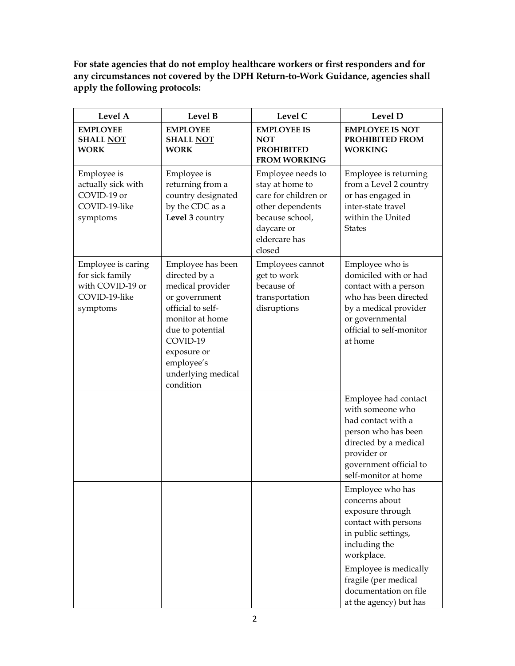**For state agencies that do not employ healthcare workers or first responders and for any circumstances not covered by the DPH Return-to-Work Guidance, agencies shall apply the following protocols:**

| Level A                                                                                | Level B                                                                                                                                                                                                         | Level C                                                                                                                                      | Level D                                                                                                                                                                         |
|----------------------------------------------------------------------------------------|-----------------------------------------------------------------------------------------------------------------------------------------------------------------------------------------------------------------|----------------------------------------------------------------------------------------------------------------------------------------------|---------------------------------------------------------------------------------------------------------------------------------------------------------------------------------|
| <b>EMPLOYEE</b><br><b>SHALL NOT</b><br><b>WORK</b>                                     | <b>EMPLOYEE</b><br><b>SHALL NOT</b><br><b>WORK</b>                                                                                                                                                              | <b>EMPLOYEE IS</b><br><b>NOT</b><br><b>PROHIBITED</b><br><b>FROM WORKING</b>                                                                 | <b>EMPLOYEE IS NOT</b><br>PROHIBITED FROM<br><b>WORKING</b>                                                                                                                     |
| Employee is<br>actually sick with<br>COVID-19 or<br>COVID-19-like<br>symptoms          | Employee is<br>returning from a<br>country designated<br>by the CDC as a<br>Level 3 country                                                                                                                     | Employee needs to<br>stay at home to<br>care for children or<br>other dependents<br>because school,<br>daycare or<br>eldercare has<br>closed | Employee is returning<br>from a Level 2 country<br>or has engaged in<br>inter-state travel<br>within the United<br><b>States</b>                                                |
| Employee is caring<br>for sick family<br>with COVID-19 or<br>COVID-19-like<br>symptoms | Employee has been<br>directed by a<br>medical provider<br>or government<br>official to self-<br>monitor at home<br>due to potential<br>COVID-19<br>exposure or<br>employee's<br>underlying medical<br>condition | Employees cannot<br>get to work<br>because of<br>transportation<br>disruptions                                                               | Employee who is<br>domiciled with or had<br>contact with a person<br>who has been directed<br>by a medical provider<br>or governmental<br>official to self-monitor<br>at home   |
|                                                                                        |                                                                                                                                                                                                                 |                                                                                                                                              | Employee had contact<br>with someone who<br>had contact with a<br>person who has been<br>directed by a medical<br>provider or<br>government official to<br>self-monitor at home |
|                                                                                        |                                                                                                                                                                                                                 |                                                                                                                                              | Employee who has<br>concerns about<br>exposure through<br>contact with persons<br>in public settings,<br>including the<br>workplace.                                            |
|                                                                                        |                                                                                                                                                                                                                 |                                                                                                                                              | Employee is medically<br>fragile (per medical<br>documentation on file<br>at the agency) but has                                                                                |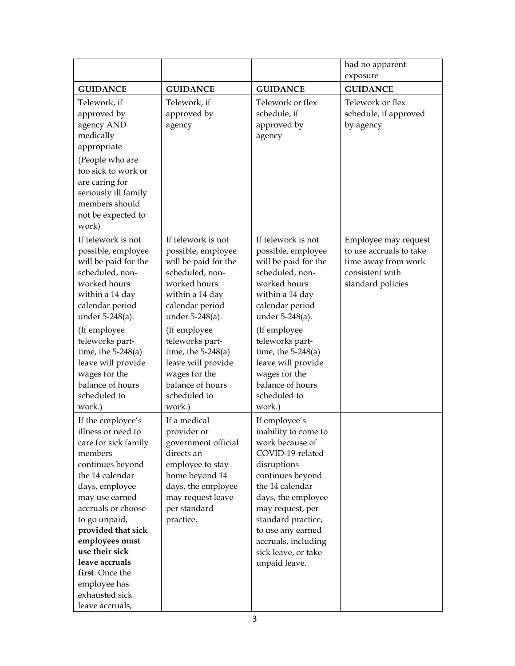|                                                                                                                                                                                                                                                                                                                                                  |                                                                                                                                                                                                                                                                                                                 |                                                                                                                                                                                                                                                                                                              | had no apparent<br>exposure                                                                                    |
|--------------------------------------------------------------------------------------------------------------------------------------------------------------------------------------------------------------------------------------------------------------------------------------------------------------------------------------------------|-----------------------------------------------------------------------------------------------------------------------------------------------------------------------------------------------------------------------------------------------------------------------------------------------------------------|--------------------------------------------------------------------------------------------------------------------------------------------------------------------------------------------------------------------------------------------------------------------------------------------------------------|----------------------------------------------------------------------------------------------------------------|
| <b>GUIDANCE</b>                                                                                                                                                                                                                                                                                                                                  | <b>GUIDANCE</b>                                                                                                                                                                                                                                                                                                 | <b>GUIDANCE</b>                                                                                                                                                                                                                                                                                              | <b>GUIDANCE</b>                                                                                                |
| Telework, if<br>approved by<br>agency AND<br>medically<br>appropriate<br>(People who are<br>too sick to work or<br>are caring for<br>seriously ill family<br>members should<br>not be expected to<br>work)                                                                                                                                       | Telework, if<br>approved by<br>agency                                                                                                                                                                                                                                                                           | Telework or flex<br>schedule, if<br>approved by<br>agency                                                                                                                                                                                                                                                    | Telework or flex<br>schedule, if approved<br>by agency                                                         |
| If telework is not<br>possible, employee<br>will be paid for the<br>scheduled, non-<br>worked hours<br>within a 14 day<br>calendar period<br>under 5-248(a).<br>(If employee<br>teleworks part-<br>time, the $5-248(a)$<br>leave will provide<br>wages for the<br>balance of hours<br>scheduled to<br>work.)                                     | If telework is not<br>possible, employee<br>will be paid for the<br>scheduled, non-<br>worked hours<br>within a 14 day<br>calendar period<br>under $5-248(a)$ .<br>(If employee<br>teleworks part-<br>time, the $5-248(a)$<br>leave will provide<br>wages for the<br>balance of hours<br>scheduled to<br>work.) | If telework is not<br>possible, employee<br>will be paid for the<br>scheduled, non-<br>worked hours<br>within a 14 day<br>calendar period<br>under 5-248(a).<br>(If employee<br>teleworks part-<br>time, the $5-248(a)$<br>leave will provide<br>wages for the<br>balance of hours<br>scheduled to<br>work.) | Employee may request<br>to use accruals to take<br>time away from work<br>consistent with<br>standard policies |
| If the employee's<br>illness or need to<br>care for sick family<br>members<br>continues beyond<br>the 14 calendar<br>days, employee<br>may use earned<br>accruals or choose<br>to go unpaid,<br>provided that sick<br>employees must<br>use their sick<br>leave accruals<br>first. Once the<br>employee has<br>exhausted sick<br>leave accruals, | If a medical<br>provider or<br>government official<br>directs an<br>employee to stay<br>home beyond 14<br>days, the employee<br>may request leave<br>per standard<br>practice.                                                                                                                                  | If employee's<br>inability to come to<br>work because of<br>COVID-19-related<br>disruptions<br>continues beyond<br>the 14 calendar<br>days, the employee<br>may request, per<br>standard practice,<br>to use any earned<br>accruals, including<br>sick leave, or take<br>unpaid leave.                       |                                                                                                                |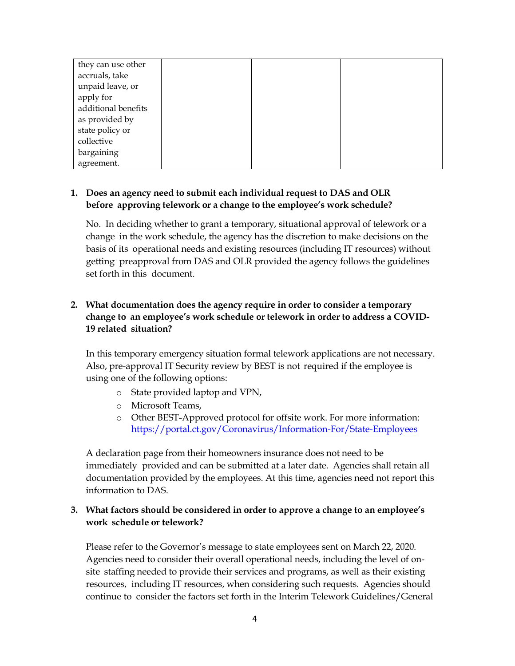| they can use other  |  |  |
|---------------------|--|--|
| accruals, take      |  |  |
| unpaid leave, or    |  |  |
| apply for           |  |  |
| additional benefits |  |  |
| as provided by      |  |  |
| state policy or     |  |  |
| collective          |  |  |
| bargaining          |  |  |
| agreement.          |  |  |

## **1. Does an agency need to submit each individual request to DAS and OLR before approving telework or a change to the employee's work schedule?**

No. In deciding whether to grant a temporary, situational approval of telework or a change in the work schedule, the agency has the discretion to make decisions on the basis of its operational needs and existing resources (including IT resources) without getting preapproval from DAS and OLR provided the agency follows the guidelines set forth in this document.

# **2. What documentation does the agency require in order to consider a temporary change to an employee's work schedule or telework in order to address a COVID-19 related situation?**

In this temporary emergency situation formal telework applications are not necessary. Also, pre-approval IT Security review by BEST is not required if the employee is using one of the following options:

- o State provided laptop and VPN,
- o Microsoft Teams,
- o Other BEST-Approved protocol for offsite work. For more information: <https://portal.ct.gov/Coronavirus/Information-For/State-Employees>

A declaration page from their homeowners insurance does not need to be immediately provided and can be submitted at a later date. Agencies shall retain all documentation provided by the employees. At this time, agencies need not report this information to DAS.

# **3. What factors should be considered in order to approve a change to an employee's work schedule or telework?**

Please refer to the Governor's message to state employees sent on March 22, 2020. Agencies need to consider their overall operational needs, including the level of onsite staffing needed to provide their services and programs, as well as their existing resources, including IT resources, when considering such requests. Agencies should continue to consider the factors set forth in the Interim Telework Guidelines/General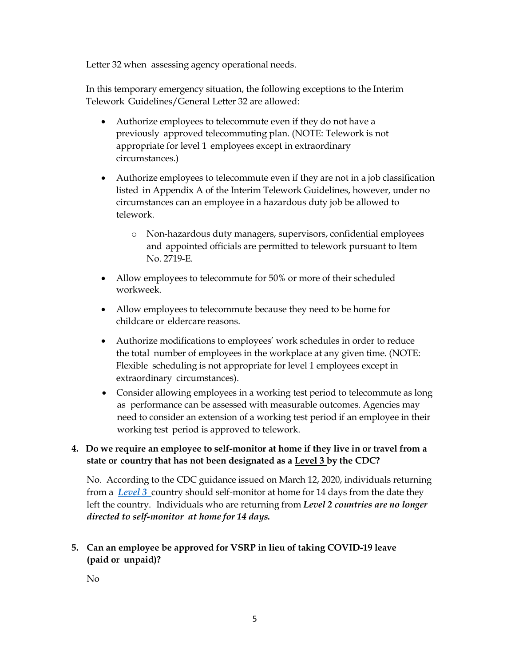Letter 32 when assessing agency operational needs.

In this temporary emergency situation, the following exceptions to the Interim Telework Guidelines/General Letter 32 are allowed:

- Authorize employees to telecommute even if they do not have a previously approved telecommuting plan. (NOTE: Telework is not appropriate for level 1 employees except in extraordinary circumstances.)
- Authorize employees to telecommute even if they are not in a job classification listed in Appendix A of the Interim Telework Guidelines, however, under no circumstances can an employee in a hazardous duty job be allowed to telework.
	- o Non-hazardous duty managers, supervisors, confidential employees and appointed officials are permitted to telework pursuant to Item No. 2719-E.
- Allow employees to telecommute for 50% or more of their scheduled workweek.
- Allow employees to telecommute because they need to be home for childcare or eldercare reasons.
- Authorize modifications to employees' work schedules in order to reduce the total number of employees in the workplace at any given time. (NOTE: Flexible scheduling is not appropriate for level 1 employees except in extraordinary circumstances).
- Consider allowing employees in a working test period to telecommute as long as performance can be assessed with measurable outcomes. Agencies may need to consider an extension of a working test period if an employee in their working test period is approved to telework.

# **4. Do we require an employee to self-monitor at home if they live in or travel from a state or country that has not been designated as a Level 3 by the CDC?**

No. According to the CDC guidance issued on March 12, 2020, individuals returning from a *[Level](https://www.cdc.gov/coronavirus/2019-ncov/travelers/after-travel-precautions.html) 3* country should self-monitor at home for 14 days from the date they left the country. Individuals who are returning from *Level 2 countries are no longer directed to self-monitor at home for 14 days.*

# **5. Can an employee be approved for VSRP in lieu of taking COVID-19 leave (paid or unpaid)?**

No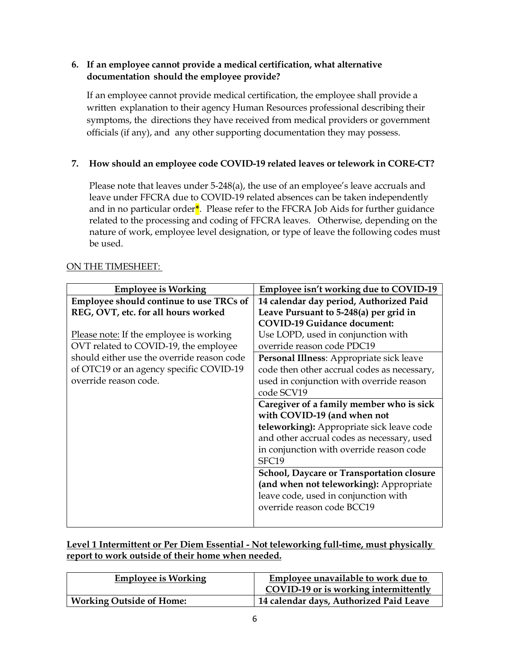# **6. If an employee cannot provide a medical certification, what alternative documentation should the employee provide?**

If an employee cannot provide medical certification, the employee shall provide a written explanation to their agency Human Resources professional describing their symptoms, the directions they have received from medical providers or government officials (if any), and any other supporting documentation they may possess.

# **7. How should an employee code COVID-19 related leaves or telework in CORE-CT?**

Please note that leaves under 5-248(a), the use of an employee's leave accruals and leave under FFCRA due to COVID-19 related absences can be taken independently and in no particular order**\***. Please refer to the FFCRA Job Aids for further guidance related to the processing and coding of FFCRA leaves. Otherwise, depending on the nature of work, employee level designation, or type of leave the following codes must be used.

#### **Employee is Working Employee isn't working due to COVID-19 Employee should continue to use TRCs of REG, OVT, etc. for all hours worked** Please note: If the employee is working OVT related to COVID-19, the employee should either use the override reason code of OTC19 or an agency specific COVID-19 override reason code. **14 calendar day period, Authorized Paid Leave Pursuant to 5-248(a) per grid in COVID-19 Guidance document:** Use LOPD, used in conjunction with override reason code PDC19 **Personal Illness**: Appropriate sick leave code then other accrual codes as necessary, used in conjunction with override reason code SCV19 **Caregiver of a family member who is sick with COVID-19 (and when not teleworking):** Appropriate sick leave code and other accrual codes as necessary, used in conjunction with override reason code SFC19 **School, Daycare or Transportation closure (and when not teleworking):** Appropriate leave code, used in conjunction with override reason code BCC19

## ON THE TIMESHEET:

**Level 1 Intermittent or Per Diem Essential - Not teleworking full-time, must physically report to work outside of their home when needed.**

| <b>Employee is Working</b>      | Employee unavailable to work due to     |
|---------------------------------|-----------------------------------------|
|                                 | COVID-19 or is working intermittently   |
| <b>Working Outside of Home:</b> | 14 calendar days, Authorized Paid Leave |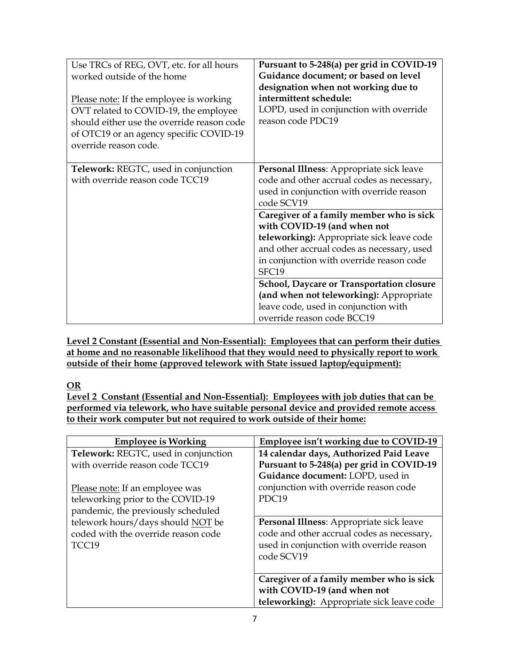| Use TRCs of REG, OVT, etc. for all hours<br>worked outside of the home<br>Please note: If the employee is working<br>OVT related to COVID-19, the employee<br>should either use the override reason code<br>of OTC19 or an agency specific COVID-19<br>override reason code. | Pursuant to 5-248(a) per grid in COVID-19<br>Guidance document; or based on level<br>designation when not working due to<br>intermittent schedule:<br>LOPD, used in conjunction with override<br>reason code PDC19      |
|------------------------------------------------------------------------------------------------------------------------------------------------------------------------------------------------------------------------------------------------------------------------------|-------------------------------------------------------------------------------------------------------------------------------------------------------------------------------------------------------------------------|
| Telework: REGTC, used in conjunction<br>with override reason code TCC19                                                                                                                                                                                                      | Personal Illness: Appropriate sick leave<br>code and other accrual codes as necessary,<br>used in conjunction with override reason<br>code SCV19                                                                        |
|                                                                                                                                                                                                                                                                              | Caregiver of a family member who is sick<br>with COVID-19 (and when not<br>teleworking): Appropriate sick leave code<br>and other accrual codes as necessary, used<br>in conjunction with override reason code<br>SFC19 |
|                                                                                                                                                                                                                                                                              | School, Daycare or Transportation closure<br>(and when not teleworking): Appropriate<br>leave code, used in conjunction with<br>override reason code BCC19                                                              |

**Level 2 Constant (Essential and Non-Essential): Employees that can perform their duties at home and no reasonable likelihood that they would need to physically report to work outside of their home (approved telework with State issued laptop/equipment):**

# **OR**

**Level 2 Constant (Essential and Non-Essential): Employees with job duties that can be performed via telework, who have suitable personal device and provided remote access to their work computer but not required to work outside of their home:**

| <b>Employee is Working</b>                                                        | Employee isn't working due to COVID-19                                                                                                           |
|-----------------------------------------------------------------------------------|--------------------------------------------------------------------------------------------------------------------------------------------------|
| Telework: REGTC, used in conjunction                                              | 14 calendar days, Authorized Paid Leave                                                                                                          |
| with override reason code TCC19                                                   | Pursuant to 5-248(a) per grid in COVID-19                                                                                                        |
|                                                                                   | Guidance document: LOPD, used in                                                                                                                 |
| Please note: If an employee was                                                   | conjunction with override reason code                                                                                                            |
| teleworking prior to the COVID-19                                                 | PDC <sub>19</sub>                                                                                                                                |
| pandemic, the previously scheduled                                                |                                                                                                                                                  |
| telework hours/days should NOT be<br>coded with the override reason code<br>TCC19 | Personal Illness: Appropriate sick leave<br>code and other accrual codes as necessary,<br>used in conjunction with override reason<br>code SCV19 |
|                                                                                   | Caregiver of a family member who is sick<br>with COVID-19 (and when not                                                                          |
|                                                                                   | teleworking): Appropriate sick leave code                                                                                                        |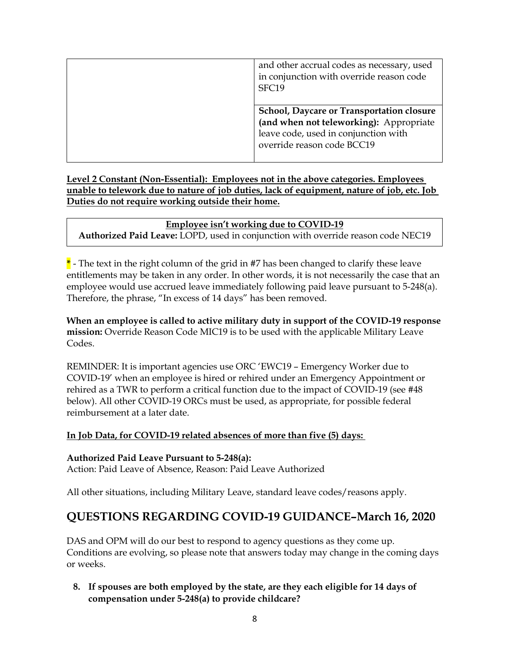| and other accrual codes as necessary, used<br>in conjunction with override reason code<br>SFC19                                                                   |
|-------------------------------------------------------------------------------------------------------------------------------------------------------------------|
| <b>School, Daycare or Transportation closure</b><br>(and when not teleworking): Appropriate<br>leave code, used in conjunction with<br>override reason code BCC19 |

**Level 2 Constant (Non-Essential): Employees not in the above categories. Employees unable to telework due to nature of job duties, lack of equipment, nature of job, etc. Job Duties do not require working outside their home.**

**Employee isn't working due to COVID-19 Authorized Paid Leave:** LOPD, used in conjunction with override reason code NEC19

**\*** - The text in the right column of the grid in #7 has been changed to clarify these leave entitlements may be taken in any order. In other words, it is not necessarily the case that an employee would use accrued leave immediately following paid leave pursuant to 5-248(a). Therefore, the phrase, "In excess of 14 days" has been removed.

**When an employee is called to active military duty in support of the COVID-19 response mission:** Override Reason Code MIC19 is to be used with the applicable Military Leave Codes.

REMINDER: It is important agencies use ORC 'EWC19 – Emergency Worker due to COVID-19' when an employee is hired or rehired under an Emergency Appointment or rehired as a TWR to perform a critical function due to the impact of COVID-19 (see #48 below). All other COVID-19 ORCs must be used, as appropriate, for possible federal reimbursement at a later date.

# **In Job Data, for COVID-19 related absences of more than five (5) days:**

**Authorized Paid Leave Pursuant to 5-248(a):**

Action: Paid Leave of Absence, Reason: Paid Leave Authorized

All other situations, including Military Leave, standard leave codes/reasons apply.

# **QUESTIONS REGARDING COVID-19 GUIDANCE–March 16, 2020**

DAS and OPM will do our best to respond to agency questions as they come up. Conditions are evolving, so please note that answers today may change in the coming days or weeks.

**8. If spouses are both employed by the state, are they each eligible for 14 days of compensation under 5-248(a) to provide childcare?**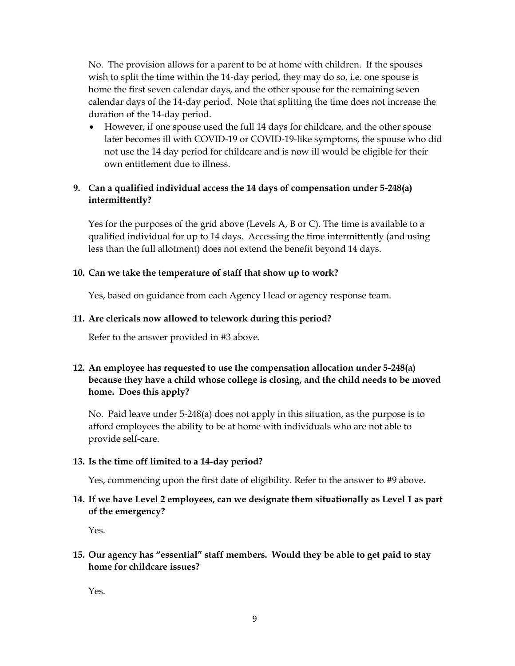No. The provision allows for a parent to be at home with children. If the spouses wish to split the time within the 14-day period, they may do so, i.e. one spouse is home the first seven calendar days, and the other spouse for the remaining seven calendar days of the 14-day period. Note that splitting the time does not increase the duration of the 14-day period.

• However, if one spouse used the full 14 days for childcare, and the other spouse later becomes ill with COVID-19 or COVID-19-like symptoms, the spouse who did not use the 14 day period for childcare and is now ill would be eligible for their own entitlement due to illness.

# **9. Can a qualified individual access the 14 days of compensation under 5-248(a) intermittently?**

Yes for the purposes of the grid above (Levels A, B or C). The time is available to a qualified individual for up to 14 days. Accessing the time intermittently (and using less than the full allotment) does not extend the benefit beyond 14 days.

## **10. Can we take the temperature of staff that show up to work?**

Yes, based on guidance from each Agency Head or agency response team.

## **11. Are clericals now allowed to telework during this period?**

Refer to the answer provided in #3 above.

# **12. An employee has requested to use the compensation allocation under 5-248(a) because they have a child whose college is closing, and the child needs to be moved home. Does this apply?**

No. Paid leave under 5-248(a) does not apply in this situation, as the purpose is to afford employees the ability to be at home with individuals who are not able to provide self-care.

## **13. Is the time off limited to a 14-day period?**

Yes, commencing upon the first date of eligibility. Refer to the answer to #9 above.

# **14. If we have Level 2 employees, can we designate them situationally as Level 1 as part of the emergency?**

Yes.

# **15. Our agency has "essential" staff members. Would they be able to get paid to stay home for childcare issues?**

Yes.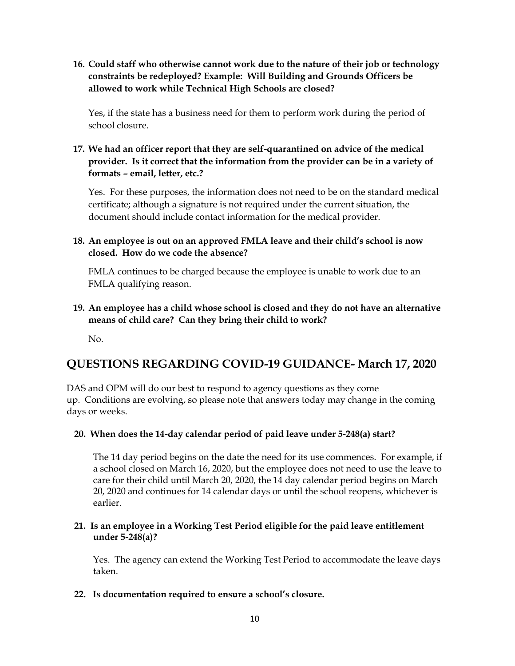**16. Could staff who otherwise cannot work due to the nature of their job or technology constraints be redeployed? Example: Will Building and Grounds Officers be allowed to work while Technical High Schools are closed?**

Yes, if the state has a business need for them to perform work during the period of school closure.

**17. We had an officer report that they are self-quarantined on advice of the medical provider. Is it correct that the information from the provider can be in a variety of formats – email, letter, etc.?**

Yes. For these purposes, the information does not need to be on the standard medical certificate; although a signature is not required under the current situation, the document should include contact information for the medical provider.

**18. An employee is out on an approved FMLA leave and their child's school is now closed. How do we code the absence?**

FMLA continues to be charged because the employee is unable to work due to an FMLA qualifying reason.

**19. An employee has a child whose school is closed and they do not have an alternative means of child care? Can they bring their child to work?**

No.

# **QUESTIONS REGARDING COVID-19 GUIDANCE- March 17, 2020**

DAS and OPM will do our best to respond to agency questions as they come up. Conditions are evolving, so please note that answers today may change in the coming days or weeks.

## **20. When does the 14-day calendar period of paid leave under 5-248(a) start?**

The 14 day period begins on the date the need for its use commences. For example, if a school closed on March 16, 2020, but the employee does not need to use the leave to care for their child until March 20, 2020, the 14 day calendar period begins on March 20, 2020 and continues for 14 calendar days or until the school reopens, whichever is earlier.

## **21. Is an employee in a Working Test Period eligible for the paid leave entitlement under 5-248(a)?**

Yes. The agency can extend the Working Test Period to accommodate the leave days taken.

**22. Is documentation required to ensure a school's closure.**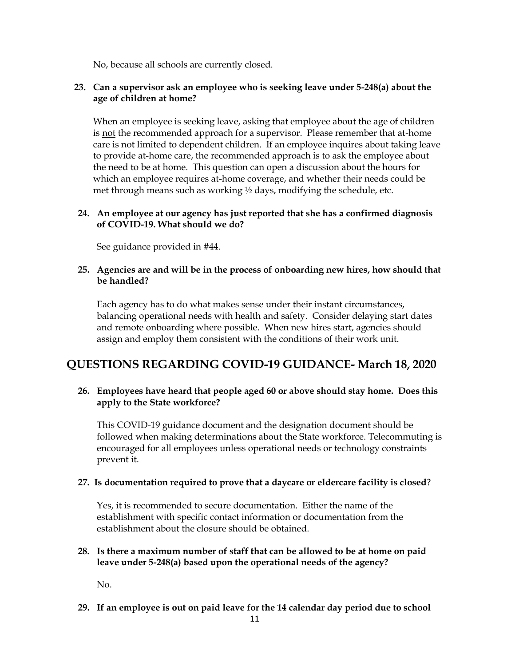No, because all schools are currently closed.

## **23. Can a supervisor ask an employee who is seeking leave under 5-248(a) about the age of children at home?**

When an employee is seeking leave, asking that employee about the age of children is not the recommended approach for a supervisor. Please remember that at-home care is not limited to dependent children. If an employee inquires about taking leave to provide at-home care, the recommended approach is to ask the employee about the need to be at home. This question can open a discussion about the hours for which an employee requires at-home coverage, and whether their needs could be met through means such as working ½ days, modifying the schedule, etc.

## **24. An employee at our agency has just reported that she has a confirmed diagnosis of COVID-19. What should we do?**

See guidance provided in #44.

### **25. Agencies are and will be in the process of onboarding new hires, how should that be handled?**

Each agency has to do what makes sense under their instant circumstances, balancing operational needs with health and safety. Consider delaying start dates and remote onboarding where possible. When new hires start, agencies should assign and employ them consistent with the conditions of their work unit.

# **QUESTIONS REGARDING COVID-19 GUIDANCE- March 18, 2020**

## **26. Employees have heard that people aged 60 or above should stay home. Does this apply to the State workforce?**

This COVID-19 guidance document and the designation document should be followed when making determinations about the State workforce. Telecommuting is encouraged for all employees unless operational needs or technology constraints prevent it.

#### **27. Is documentation required to prove that a daycare or eldercare facility is closed**?

Yes, it is recommended to secure documentation. Either the name of the establishment with specific contact information or documentation from the establishment about the closure should be obtained.

## **28. Is there a maximum number of staff that can be allowed to be at home on paid leave under 5-248(a) based upon the operational needs of the agency?**

No.

**29. If an employee is out on paid leave for the 14 calendar day period due to school**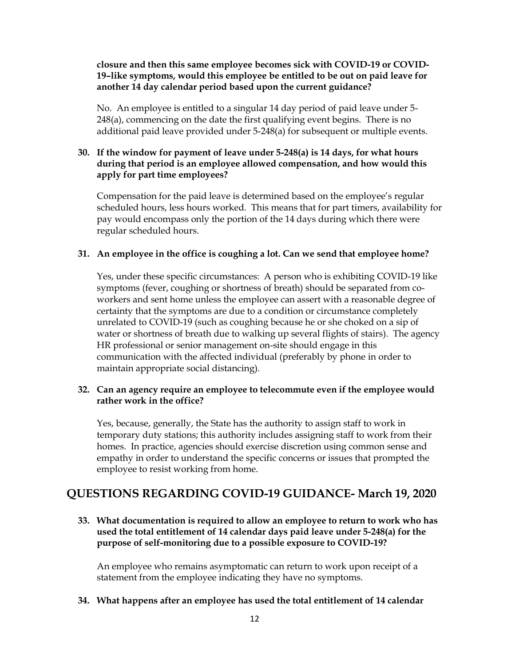**closure and then this same employee becomes sick with COVID-19 or COVID-19–like symptoms, would this employee be entitled to be out on paid leave for another 14 day calendar period based upon the current guidance?**

No. An employee is entitled to a singular 14 day period of paid leave under 5- 248(a), commencing on the date the first qualifying event begins. There is no additional paid leave provided under 5-248(a) for subsequent or multiple events.

## **30. If the window for payment of leave under 5-248(a) is 14 days, for what hours during that period is an employee allowed compensation, and how would this apply for part time employees?**

Compensation for the paid leave is determined based on the employee's regular scheduled hours, less hours worked. This means that for part timers, availability for pay would encompass only the portion of the 14 days during which there were regular scheduled hours.

#### **31. An employee in the office is coughing a lot. Can we send that employee home?**

Yes, under these specific circumstances: A person who is exhibiting COVID-19 like symptoms (fever, coughing or shortness of breath) should be separated from coworkers and sent home unless the employee can assert with a reasonable degree of certainty that the symptoms are due to a condition or circumstance completely unrelated to COVID-19 (such as coughing because he or she choked on a sip of water or shortness of breath due to walking up several flights of stairs). The agency HR professional or senior management on-site should engage in this communication with the affected individual (preferably by phone in order to maintain appropriate social distancing).

## **32. Can an agency require an employee to telecommute even if the employee would rather work in the office?**

Yes, because, generally, the State has the authority to assign staff to work in temporary duty stations; this authority includes assigning staff to work from their homes. In practice, agencies should exercise discretion using common sense and empathy in order to understand the specific concerns or issues that prompted the employee to resist working from home.

# **QUESTIONS REGARDING COVID-19 GUIDANCE- March 19, 2020**

**33. What documentation is required to allow an employee to return to work who has used the total entitlement of 14 calendar days paid leave under 5-248(a) for the purpose of self-monitoring due to a possible exposure to COVID-19?**

An employee who remains asymptomatic can return to work upon receipt of a statement from the employee indicating they have no symptoms.

**34. What happens after an employee has used the total entitlement of 14 calendar**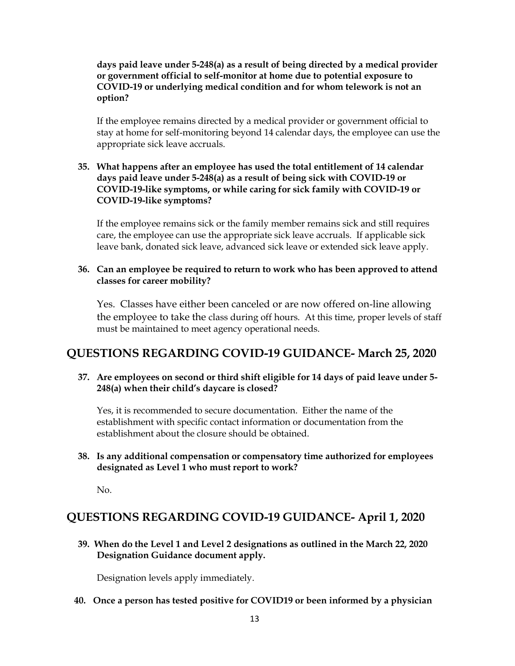**days paid leave under 5-248(a) as a result of being directed by a medical provider or government official to self-monitor at home due to potential exposure to COVID-19 or underlying medical condition and for whom telework is not an option?**

If the employee remains directed by a medical provider or government official to stay at home for self-monitoring beyond 14 calendar days, the employee can use the appropriate sick leave accruals.

## **35. What happens after an employee has used the total entitlement of 14 calendar days paid leave under 5-248(a) as a result of being sick with COVID-19 or COVID-19-like symptoms, or while caring for sick family with COVID-19 or COVID-19-like symptoms?**

If the employee remains sick or the family member remains sick and still requires care, the employee can use the appropriate sick leave accruals. If applicable sick leave bank, donated sick leave, advanced sick leave or extended sick leave apply.

### **36. Can an employee be required to return to work who has been approved to attend classes for career mobility?**

Yes. Classes have either been canceled or are now offered on-line allowing the employee to take the class during off hours. At this time, proper levels of staff must be maintained to meet agency operational needs.

# **QUESTIONS REGARDING COVID-19 GUIDANCE- March 25, 2020**

### **37. Are employees on second or third shift eligible for 14 days of paid leave under 5- 248(a) when their child's daycare is closed?**

Yes, it is recommended to secure documentation. Either the name of the establishment with specific contact information or documentation from the establishment about the closure should be obtained.

## **38. Is any additional compensation or compensatory time authorized for employees designated as Level 1 who must report to work?**

No.

# **QUESTIONS REGARDING COVID-19 GUIDANCE- April 1, 2020**

**39. When do the Level 1 and Level 2 designations as outlined in the March 22, 2020 Designation Guidance document apply.** 

Designation levels apply immediately.

**40. Once a person has tested positive for COVID19 or been informed by a physician**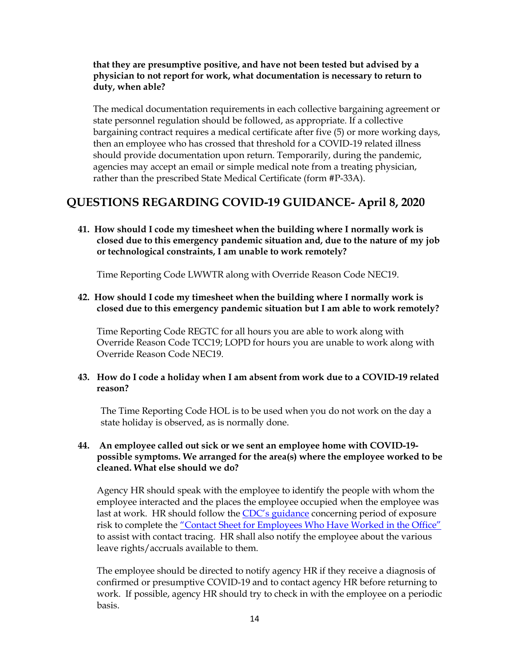### **that they are presumptive positive, and have not been tested but advised by a physician to not report for work, what documentation is necessary to return to duty, when able?**

The medical documentation requirements in each collective bargaining agreement or state personnel regulation should be followed, as appropriate. If a collective bargaining contract requires a medical certificate after five (5) or more working days, then an employee who has crossed that threshold for a COVID-19 related illness should provide documentation upon return. Temporarily, during the pandemic, agencies may accept an email or simple medical note from a treating physician, rather than the prescribed State Medical Certificate (form #P-33A).

# **QUESTIONS REGARDING COVID-19 GUIDANCE- April 8, 2020**

**41. How should I code my timesheet when the building where I normally work is closed due to this emergency pandemic situation and, due to the nature of my job or technological constraints, I am unable to work remotely?**

Time Reporting Code LWWTR along with Override Reason Code NEC19.

**42. How should I code my timesheet when the building where I normally work is closed due to this emergency pandemic situation but I am able to work remotely?**

Time Reporting Code REGTC for all hours you are able to work along with Override Reason Code TCC19; LOPD for hours you are unable to work along with Override Reason Code NEC19.

## **43. How do I code a holiday when I am absent from work due to a COVID-19 related reason?**

The Time Reporting Code HOL is to be used when you do not work on the day a state holiday is observed, as is normally done.

## **44. An employee called out sick or we sent an employee home with COVID-19 possible symptoms. We arranged for the area(s) where the employee worked to be cleaned. What else should we do?**

Agency HR should speak with the employee to identify the people with whom the employee interacted and the places the employee occupied when the employee was last at work. HR should follow the [CDC's guidance](https://gcc02.safelinks.protection.outlook.com/?url=https%3A%2F%2Fwww.cdc.gov%2Fcoronavirus%2F2019-ncov%2Fphp%2Fpublic-health-recommendations.html&data=01%7C01%7CSandra.Brown-Brewton%40ct.gov%7Cca146ad72b8e4ced11bb08d7e6da32f9%7C118b7cfaa3dd48b9b02631ff69bb738b%7C0&sdata=2xBU83HP0l2VYfmSEu6%2BubZfMNMj57QCpAMxkP%2FUFXA%3D&reserved=0) concerning period of exposure risk to complete the ["Contact Sheet for Employees Who Have Worked in the Office"](https://portal.ct.gov/Coronavirus/Information-For/State-Employees) to assist with contact tracing. HR shall also notify the employee about the various leave rights/accruals available to them.

The employee should be directed to notify agency HR if they receive a diagnosis of confirmed or presumptive COVID-19 and to contact agency HR before returning to work. If possible, agency HR should try to check in with the employee on a periodic basis.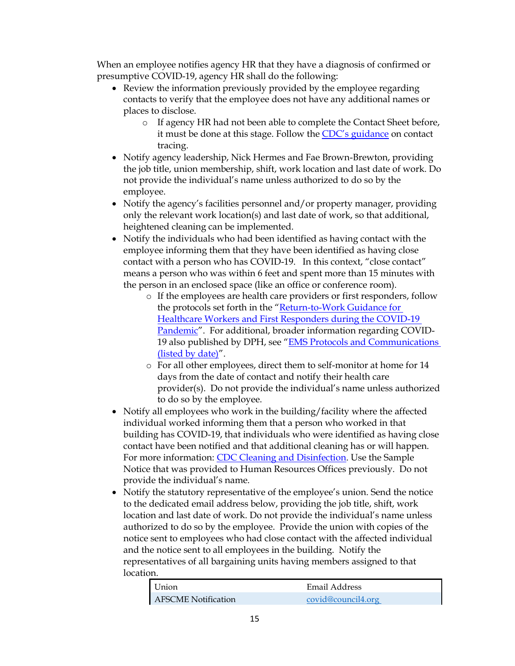When an employee notifies agency HR that they have a diagnosis of confirmed or presumptive COVID-19, agency HR shall do the following:

- Review the information previously provided by the employee regarding contacts to verify that the employee does not have any additional names or places to disclose.
	- o If agency HR had not been able to complete the Contact Sheet before, it must be done at this stage. Follow the [CDC's guidance](https://gcc02.safelinks.protection.outlook.com/?url=https%3A%2F%2Fwww.cdc.gov%2Fcoronavirus%2F2019-ncov%2Fphp%2Fpublic-health-recommendations.html&data=01%7C01%7CSandra.Brown-Brewton%40ct.gov%7Cca146ad72b8e4ced11bb08d7e6da32f9%7C118b7cfaa3dd48b9b02631ff69bb738b%7C0&sdata=2xBU83HP0l2VYfmSEu6%2BubZfMNMj57QCpAMxkP%2FUFXA%3D&reserved=0) on contact tracing.
- Notify agency leadership, Nick Hermes and Fae Brown-Brewton, providing the job title, union membership, shift, work location and last date of work. Do not provide the individual's name unless authorized to do so by the employee.
- Notify the agency's facilities personnel and/or property manager, providing only the relevant work location(s) and last date of work, so that additional, heightened cleaning can be implemented.
- Notify the individuals who had been identified as having contact with the employee informing them that they have been identified as having close contact with a person who has COVID-19. In this context, "close contact" means a person who was within 6 feet and spent more than 15 minutes with the person in an enclosed space (like an office or conference room).
	- o If the employees are health care providers or first responders, follow the protocols set forth in the "[Return-to-Work Guidance for](https://www.cdc.gov/coronavirus/2019-ncov/hcp/return-to-work.html)  [Healthcare Workers and First Responders during the COVID-19](https://www.cdc.gov/coronavirus/2019-ncov/hcp/return-to-work.html)  [Pandemic](https://www.cdc.gov/coronavirus/2019-ncov/hcp/return-to-work.html)". For additional, broader information regarding COVID-19 also published by DPH, see "[EMS Protocols and Communications](https://portal.ct.gov/DPH/Emergency-Medical-Services/EMS/OEMS-Coronavirus)  [\(listed by date\)](https://portal.ct.gov/DPH/Emergency-Medical-Services/EMS/OEMS-Coronavirus)".
	- o For all other employees, direct them to self-monitor at home for 14 days from the date of contact and notify their health care provider(s). Do not provide the individual's name unless authorized to do so by the employee.
- Notify all employees who work in the building/facility where the affected individual worked informing them that a person who worked in that building has COVID-19, that individuals who were identified as having close contact have been notified and that additional cleaning has or will happen. For more information: [CDC Cleaning and Disinfection.](https://www.cdc.gov/coronavirus/2019-ncov/community/organizations/cleaning-disinfection.html) Use the Sample Notice that was provided to Human Resources Offices previously. Do not provide the individual's name.
- Notify the statutory representative of the employee's union. Send the notice to the dedicated email address below, providing the job title, shift, work location and last date of work. Do not provide the individual's name unless authorized to do so by the employee. Provide the union with copies of the notice sent to employees who had close contact with the affected individual and the notice sent to all employees in the building. Notify the representatives of all bargaining units having members assigned to that location.

| Union                      | Email Address      |
|----------------------------|--------------------|
| <b>AFSCME Notification</b> | covid@council4.org |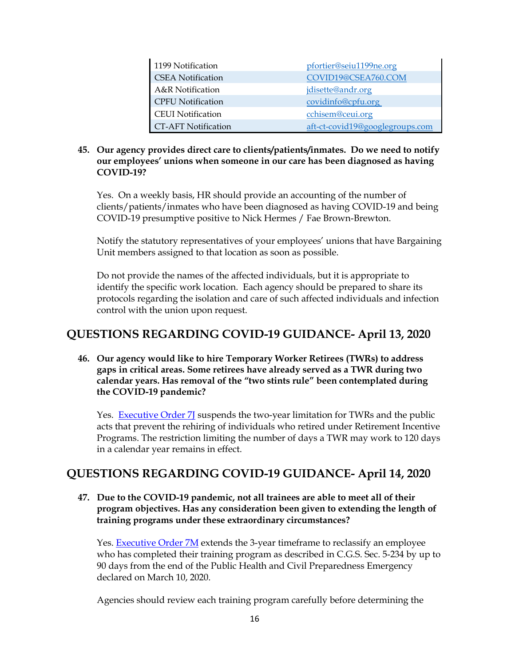| 1199 Notification          | pfortier@seiu1199ne.org         |
|----------------------------|---------------------------------|
| <b>CSEA</b> Notification   | COVID19@CSEA760.COM             |
| A&R Notification           | jdisette@andr.org               |
| <b>CPFU</b> Notification   | covidinfo@cpfu.org              |
| <b>CEUI</b> Notification   | cchisem@ceui.org                |
| <b>CT-AFT Notification</b> | aft-ct-covid19@googlegroups.com |

## **45. Our agency provides direct care to clients/patients/inmates. Do we need to notify our employees' unions when someone in our care has been diagnosed as having COVID-19?**

Yes. On a weekly basis, HR should provide an accounting of the number of clients/patients/inmates who have been diagnosed as having COVID-19 and being COVID-19 presumptive positive to Nick Hermes / Fae Brown-Brewton.

Notify the statutory representatives of your employees' unions that have Bargaining Unit members assigned to that location as soon as possible.

Do not provide the names of the affected individuals, but it is appropriate to identify the specific work location. Each agency should be prepared to share its protocols regarding the isolation and care of such affected individuals and infection control with the union upon request.

# **QUESTIONS REGARDING COVID-19 GUIDANCE- April 13, 2020**

**46. Our agency would like to hire Temporary Worker Retirees (TWRs) to address gaps in critical areas. Some retirees have already served as a TWR during two calendar years. Has removal of the "two stints rule" been contemplated during the COVID-19 pandemic?**

Yes. **Executive Order 7** suspends the two-year limitation for TWRs and the public acts that prevent the rehiring of individuals who retired under Retirement Incentive Programs. The restriction limiting the number of days a TWR may work to 120 days in a calendar year remains in effect.

# **QUESTIONS REGARDING COVID-19 GUIDANCE- April 14, 2020**

**47. Due to the COVID-19 pandemic, not all trainees are able to meet all of their program objectives. Has any consideration been given to extending the length of training programs under these extraordinary circumstances?**

Yes. [Executive](https://portal.ct.gov/-/media/Office-of-the-Governor/Executive-Orders/Lamont-Executive-Orders/Executive-Order-No-7M.pdf) Order 7M extends the 3-year timeframe to reclassify an employee who has completed their training program as described in C.G.S. Sec. 5-234 by up to 90 days from the end of the Public Health and Civil Preparedness Emergency declared on March 10, 2020.

Agencies should review each training program carefully before determining the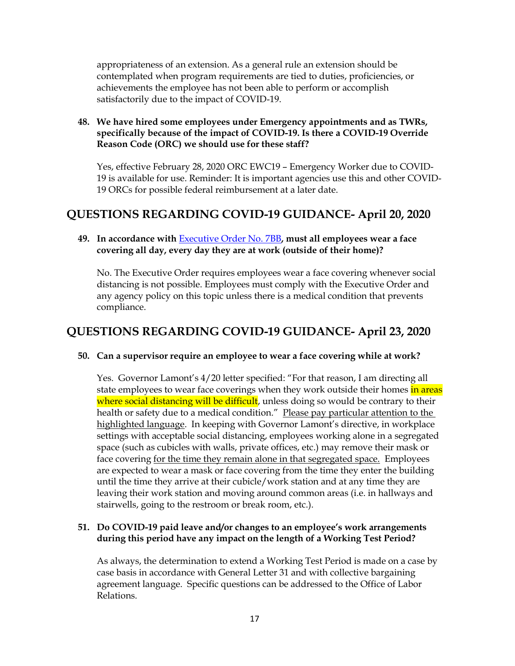appropriateness of an extension. As a general rule an extension should be contemplated when program requirements are tied to duties, proficiencies, or achievements the employee has not been able to perform or accomplish satisfactorily due to the impact of COVID-19.

### **48. We have hired some employees under Emergency appointments and as TWRs, specifically because of the impact of COVID-19. Is there a COVID-19 Override Reason Code (ORC) we should use for these staff?**

Yes, effective February 28, 2020 ORC EWC19 – Emergency Worker due to COVID-19 is available for use. Reminder: It is important agencies use this and other COVID-19 ORCs for possible federal reimbursement at a later date.

# **QUESTIONS REGARDING COVID-19 GUIDANCE- April 20, 2020**

## **49. In accordance with** [Executive Order No. 7BB](https://portal.ct.gov/-/media/Office-of-the-Governor/Executive-Orders/Lamont-Executive-Orders/Executive-Order-No-7BB.pdf?la=en)**, must all employees wear a face covering all day, every day they are at work (outside of their home)?**

No. The Executive Order requires employees wear a face covering whenever social distancing is not possible. Employees must comply with the Executive Order and any agency policy on this topic unless there is a medical condition that prevents compliance.

# **QUESTIONS REGARDING COVID-19 GUIDANCE- April 23, 2020**

## **50. Can a supervisor require an employee to wear a face covering while at work?**

Yes. Governor Lamont's 4/20 letter specified: "For that reason, I am directing all state employees to wear face coverings when they work outside their homes in areas where social distancing will be difficult, unless doing so would be contrary to their health or safety due to a medical condition." Please pay particular attention to the highlighted language. In keeping with Governor Lamont's directive, in workplace settings with acceptable social distancing, employees working alone in a segregated space (such as cubicles with walls, private offices, etc.) may remove their mask or face covering for the time they remain alone in that segregated space. Employees are expected to wear a mask or face covering from the time they enter the building until the time they arrive at their cubicle/work station and at any time they are leaving their work station and moving around common areas (i.e. in hallways and stairwells, going to the restroom or break room, etc.).

## **51. Do COVID-19 paid leave and/or changes to an employee's work arrangements during this period have any impact on the length of a Working Test Period?**

As always, the determination to extend a Working Test Period is made on a case by case basis in accordance with General Letter 31 and with collective bargaining agreement language. Specific questions can be addressed to the Office of Labor Relations.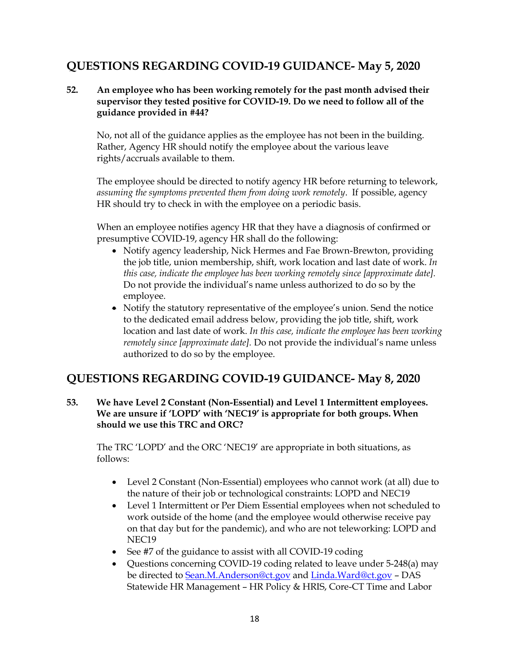# **QUESTIONS REGARDING COVID-19 GUIDANCE- May 5, 2020**

## **52. An employee who has been working remotely for the past month advised their supervisor they tested positive for COVID-19. Do we need to follow all of the guidance provided in #44?**

No, not all of the guidance applies as the employee has not been in the building. Rather, Agency HR should notify the employee about the various leave rights/accruals available to them.

The employee should be directed to notify agency HR before returning to telework, *assuming the symptoms prevented them from doing work remotely*. If possible, agency HR should try to check in with the employee on a periodic basis.

When an employee notifies agency HR that they have a diagnosis of confirmed or presumptive COVID-19, agency HR shall do the following:

- Notify agency leadership, Nick Hermes and Fae Brown-Brewton, providing the job title, union membership, shift, work location and last date of work. *In this case, indicate the employee has been working remotely since [approximate date].* Do not provide the individual's name unless authorized to do so by the employee.
- Notify the statutory representative of the employee's union. Send the notice to the dedicated email address below, providing the job title, shift, work location and last date of work. *In this case, indicate the employee has been working remotely since [approximate date].* Do not provide the individual's name unless authorized to do so by the employee.

# **QUESTIONS REGARDING COVID-19 GUIDANCE- May 8, 2020**

**53. We have Level 2 Constant (Non-Essential) and Level 1 Intermittent employees. We are unsure if 'LOPD' with 'NEC19' is appropriate for both groups. When should we use this TRC and ORC?**

The TRC 'LOPD' and the ORC 'NEC19' are appropriate in both situations, as follows:

- Level 2 Constant (Non-Essential) employees who cannot work (at all) due to the nature of their job or technological constraints: LOPD and NEC19
- Level 1 Intermittent or Per Diem Essential employees when not scheduled to work outside of the home (and the employee would otherwise receive pay on that day but for the pandemic), and who are not teleworking: LOPD and NEC19
- See #7 of the guidance to assist with all COVID-19 coding
- Questions concerning COVID-19 coding related to leave under 5-248(a) may be directed to [Sean.M.Anderson@ct.gov](mailto:Sean.M.Anderson@ct.gov) an[d Linda.Ward@ct.gov](mailto:Linda.Ward@ct.gov) – DAS Statewide HR Management – HR Policy & HRIS, Core-CT Time and Labor